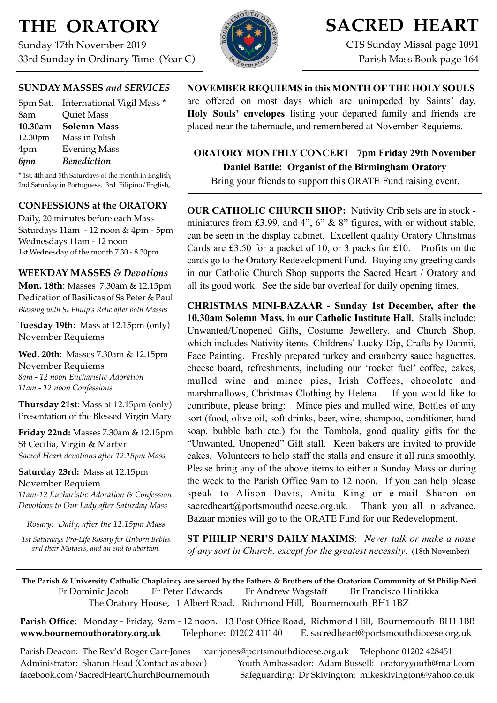# **THE ORATORY**

Sunday 17th November 2019 33rd Sunday in Ordinary Time (Year C)



# **SACRED HEART**

CTS Sunday Missal page 1091 Parish Mass Book page 164

# **SUNDAY MASSES** *and SERVICES*

|         | 5pm Sat. International Vigil Mass * |
|---------|-------------------------------------|
| 8am     | Quiet Mass                          |
| 10.30am | <b>Solemn Mass</b>                  |
| 12.30pm | Mass in Polish                      |
| 4pm     | <b>Evening Mass</b>                 |
| 6pm     | <b>Benediction</b>                  |

\* 1st, 4th and 5th Saturdays of the month in English, 2nd Saturday in Portuguese, 3rd Filipino/English,

# **CONFESSIONS at the ORATORY**

Daily, 20 minutes before each Mass Saturdays 11am - 12 noon & 4pm - 5pm Wednesdays 11am - 12 noon 1st Wednesday of the month 7.30 - 8.30pm

### **WEEKDAY MASSES** *& Devotions*

**Mon. 18th: Masses 7.30am & 12.15pm** Dedication of Basilicas of Ss Peter & Paul *Blessing with St Philip's Relic after both Masses*

**Tuesday 19th**: Mass at 12.15pm (only) November Requiems

**Wed. 20th**: Masses 7.30am & 12.15pm November Requiems *8am - 12 noon Eucharistic Adoration 11am - 12 noon Confessions*

**Thursday 21st**: Mass at 12.15pm (only) Presentation of the Blessed Virgin Mary

**Friday 22nd:** Masses 7.30am & 12.15pm St Cecilia, Virgin & Martyr *Sacred Heart devotions after 12.15pm Mass*

**Saturday 23rd:** Mass at 12.15pm November Requiem

*11am-12 Eucharistic Adoration & Confession Devotions to Our Lady after Saturday Mass*

*Rosary: Daily, after the 12.15pm Mass*

*1st Saturdays Pro-Life Rosary for Unborn Babies and their Mothers, and an end to abortion.*

# **NOVEMBER REQUIEMS in this MONTH OF THE HOLY SOULS**

are offered on most days which are unimpeded by Saints' day. **Holy Souls' envelopes** listing your departed family and friends are placed near the tabernacle, and remembered at November Requiems.

# **ORATORY MONTHLY CONCERT 7pm Friday 29th November Daniel Battle: Organist of the Birmingham Oratory**  Bring your friends to support this ORATE Fund raising event.

**OUR CATHOLIC CHURCH SHOP:** Nativity Crib sets are in stock miniatures from £3.99, and 4", 6" & 8" figures, with or without stable, can be seen in the display cabinet. Excellent quality Oratory Christmas Cards are £3.50 for a packet of 10, or 3 packs for £10. Profits on the cards go to the Oratory Redevelopment Fund. Buying any greeting cards in our Catholic Church Shop supports the Sacred Heart / Oratory and all its good work. See the side bar overleaf for daily opening times.

**CHRISTMAS MINI-BAZAAR - Sunday 1st December, after the 10.30am Solemn Mass, in our Catholic Institute Hall.** Stalls include: Unwanted/Unopened Gifts, Costume Jewellery, and Church Shop, which includes Nativity items. Childrens' Lucky Dip, Crafts by Dannii, Face Painting. Freshly prepared turkey and cranberry sauce baguettes, cheese board, refreshments, including our 'rocket fuel' coffee, cakes, mulled wine and mince pies, Irish Coffees, chocolate and marshmallows, Christmas Clothing by Helena. If you would like to contribute, please bring: Mince pies and mulled wine, Bottles of any sort (food, olive oil, soft drinks, beer, wine, shampoo, conditioner, hand soap, bubble bath etc.) for the Tombola, good quality gifts for the "Unwanted, Unopened" Gift stall. Keen bakers are invited to provide cakes. Volunteers to help staff the stalls and ensure it all runs smoothly. Please bring any of the above items to either a Sunday Mass or during the week to the Parish Office 9am to 12 noon. If you can help please speak to Alison Davis, Anita King or e-mail Sharon on  $saceredheart@ports mouthdiocese.org.uk.$  Thank you all in advance. Bazaar monies will go to the ORATE Fund for our Redevelopment.

**ST PHILIP NERI'S DAILY MAXIMS**: *Never talk or make a noise of any sort in Church, except for the greatest necessity*. (18th November)

**The Parish & University Catholic Chaplaincy are served by the Fathers & Brothers of the Oratorian Community of St Philip Neri**  Fr Dominic Jacob Fr Peter Edwards Fr Andrew Wagstaff Br Francisco Hintikka The Oratory House, 1 Albert Road, Richmond Hill, Bournemouth BH1 1BZ

**Parish Office:** Monday - Friday, 9am - 12 noon. 13 Post Office Road, Richmond Hill, Bournemouth BH1 1BB **[www.bournemouthoratory.org.uk](http://www.bournemoithoratory.org.uk)** Telephone: 01202 411140 E. [sacredheart@portsmouthdiocese.org.uk](mailto:sacredheart@portsmouthdiocese.org.uk)

Parish Deacon: The Rev'd Roger Carr-Jones [rcarrjones@portsmouthdiocese.org.uk](mailto:rcarrjones@portsmouthdiocese.org.uk) Telephone 01202 428451 Administrator: Sharon Head (Contact as above) Youth Ambassador: Adam Bussell: [oratoryyouth@mail.com](http://oratoryyouth.mail.com) [facebook.com/SacredHeartChurchBournemouth](http://facebook.com/SaccredHeartChurchBournemouth) Safeguarding: Dr Skivington: mikeskivington@yahoo.co.uk